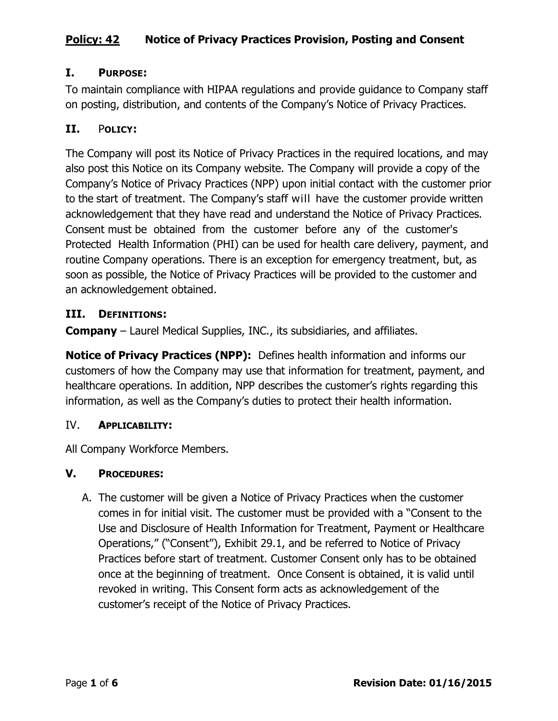## **I. PURPOSE:**

To maintain compliance with HIPAA regulations and provide guidance to Company staff on posting, distribution, and contents of the Company's Notice of Privacy Practices.

## **II.** P**OLICY:**

The Company will post its Notice of Privacy Practices in the required locations, and may also post this Notice on its Company website. The Company will provide a copy of the Company's Notice of Privacy Practices (NPP) upon initial contact with the customer prior to the start of treatment. The Company's staff will have the customer provide written acknowledgement that they have read and understand the Notice of Privacy Practices. Consent must be obtained from the customer before any of the customer's Protected Health Information (PHI) can be used for health care delivery, payment, and routine Company operations. There is an exception for emergency treatment, but, as soon as possible, the Notice of Privacy Practices will be provided to the customer and an acknowledgement obtained.

#### **III. DEFINITIONS:**

**Company** – Laurel Medical Supplies, INC., its subsidiaries, and affiliates.

**Notice of Privacy Practices (NPP):** Defines health information and informs our customers of how the Company may use that information for treatment, payment, and healthcare operations. In addition, NPP describes the customer's rights regarding this information, as well as the Company's duties to protect their health information.

#### IV. **APPLICABILITY:**

All Company Workforce Members.

#### **V. PROCEDURES:**

A. The customer will be given a Notice of Privacy Practices when the customer comes in for initial visit. The customer must be provided with a "Consent to the Use and Disclosure of Health Information for Treatment, Payment or Healthcare Operations," ("Consent"), Exhibit 29.1, and be referred to Notice of Privacy Practices before start of treatment. Customer Consent only has to be obtained once at the beginning of treatment. Once Consent is obtained, it is valid until revoked in writing. This Consent form acts as acknowledgement of the customer's receipt of the Notice of Privacy Practices.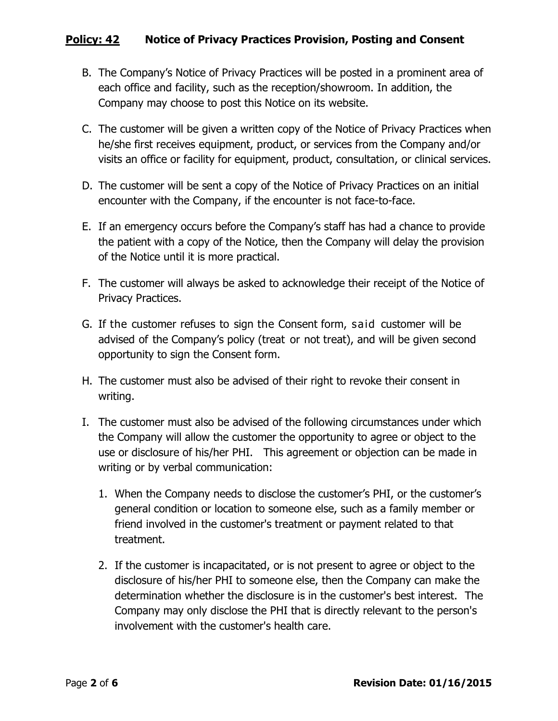- B. The Company's Notice of Privacy Practices will be posted in a prominent area of each office and facility, such as the reception/showroom. In addition, the Company may choose to post this Notice on its website.
- C. The customer will be given a written copy of the Notice of Privacy Practices when he/she first receives equipment, product, or services from the Company and/or visits an office or facility for equipment, product, consultation, or clinical services.
- D. The customer will be sent a copy of the Notice of Privacy Practices on an initial encounter with the Company, if the encounter is not face-to-face.
- E. If an emergency occurs before the Company's staff has had a chance to provide the patient with a copy of the Notice, then the Company will delay the provision of the Notice until it is more practical.
- F. The customer will always be asked to acknowledge their receipt of the Notice of Privacy Practices.
- G. If the customer refuses to sign the Consent form, said customer will be advised of the Company's policy (treat or not treat), and will be given second opportunity to sign the Consent form.
- H. The customer must also be advised of their right to revoke their consent in writing.
- I. The customer must also be advised of the following circumstances under which the Company will allow the customer the opportunity to agree or object to the use or disclosure of his/her PHI. This agreement or objection can be made in writing or by verbal communication:
	- 1. When the Company needs to disclose the customer's PHI, or the customer's general condition or location to someone else, such as a family member or friend involved in the customer's treatment or payment related to that treatment.
	- 2. If the customer is incapacitated, or is not present to agree or object to the disclosure of his/her PHI to someone else, then the Company can make the determination whether the disclosure is in the customer's best interest. The Company may only disclose the PHI that is directly relevant to the person's involvement with the customer's health care.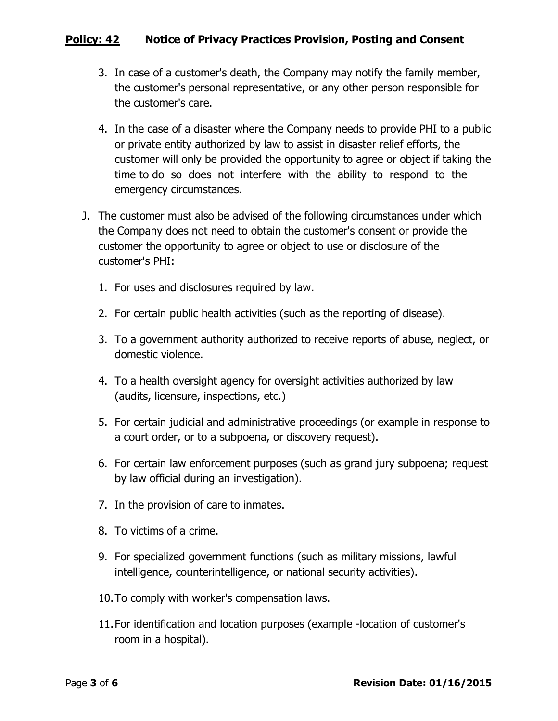- 3. In case of a customer's death, the Company may notify the family member, the customer's personal representative, or any other person responsible for the customer's care.
- 4. In the case of a disaster where the Company needs to provide PHI to a public or private entity authorized by law to assist in disaster relief efforts, the customer will only be provided the opportunity to agree or object if taking the time to do so does not interfere with the ability to respond to the emergency circumstances.
- J. The customer must also be advised of the following circumstances under which the Company does not need to obtain the customer's consent or provide the customer the opportunity to agree or object to use or disclosure of the customer's PHI:
	- 1. For uses and disclosures required by law.
	- 2. For certain public health activities (such as the reporting of disease).
	- 3. To a government authority authorized to receive reports of abuse, neglect, or domestic violence.
	- 4. To a health oversight agency for oversight activities authorized by law (audits, licensure, inspections, etc.)
	- 5. For certain judicial and administrative proceedings (or example in response to a court order, or to a subpoena, or discovery request).
	- 6. For certain law enforcement purposes (such as grand jury subpoena; request by law official during an investigation).
	- 7. In the provision of care to inmates.
	- 8. To victims of a crime.
	- 9. For specialized government functions (such as military missions, lawful intelligence, counterintelligence, or national security activities).
	- 10.To comply with worker's compensation laws.
	- 11.For identification and location purposes (example -location of customer's room in a hospital).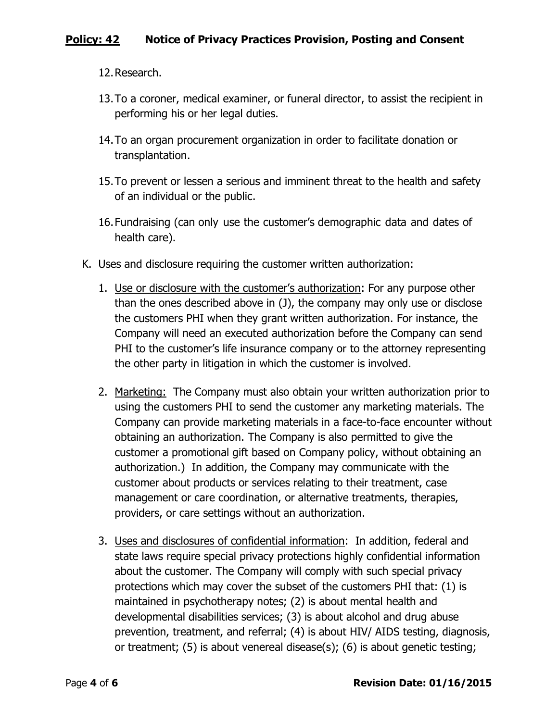12.Research.

- 13.To a coroner, medical examiner, or funeral director, to assist the recipient in performing his or her legal duties.
- 14.To an organ procurement organization in order to facilitate donation or transplantation.
- 15.To prevent or lessen a serious and imminent threat to the health and safety of an individual or the public.
- 16.Fundraising (can only use the customer's demographic data and dates of health care).
- K. Uses and disclosure requiring the customer written authorization:
	- 1. Use or disclosure with the customer's authorization: For any purpose other than the ones described above in (J), the company may only use or disclose the customers PHI when they grant written authorization. For instance, the Company will need an executed authorization before the Company can send PHI to the customer's life insurance company or to the attorney representing the other party in litigation in which the customer is involved.
	- 2. Marketing: The Company must also obtain your written authorization prior to using the customers PHI to send the customer any marketing materials. The Company can provide marketing materials in a face-to-face encounter without obtaining an authorization. The Company is also permitted to give the customer a promotional gift based on Company policy, without obtaining an authorization.) In addition, the Company may communicate with the customer about products or services relating to their treatment, case management or care coordination, or alternative treatments, therapies, providers, or care settings without an authorization.
	- 3. Uses and disclosures of confidential information: In addition, federal and state laws require special privacy protections highly confidential information about the customer. The Company will comply with such special privacy protections which may cover the subset of the customers PHI that: (1) is maintained in psychotherapy notes; (2) is about mental health and developmental disabilities services; (3) is about alcohol and drug abuse prevention, treatment, and referral; (4) is about HIV/ AIDS testing, diagnosis, or treatment; (5) is about venereal disease(s); (6) is about genetic testing;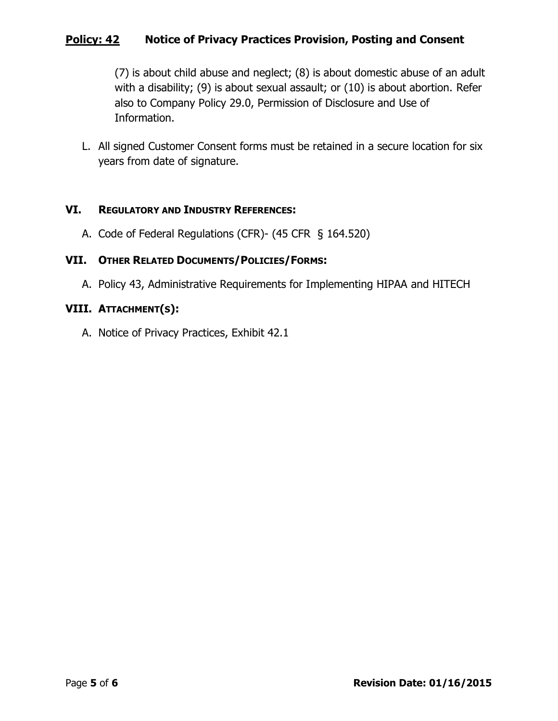(7) is about child abuse and neglect; (8) is about domestic abuse of an adult with a disability; (9) is about sexual assault; or (10) is about abortion. Refer also to Company Policy 29.0, Permission of Disclosure and Use of Information.

L. All signed Customer Consent forms must be retained in a secure location for six years from date of signature.

#### **VI. REGULATORY AND INDUSTRY REFERENCES:**

A. Code of Federal Regulations (CFR)- (45 CFR § 164.520)

#### **VII. OTHER RELATED DOCUMENTS/POLICIES/FORMS:**

A. Policy 43, Administrative Requirements for Implementing HIPAA and HITECH

#### **VIII. ATTACHMENT(S):**

A. Notice of Privacy Practices, Exhibit 42.1